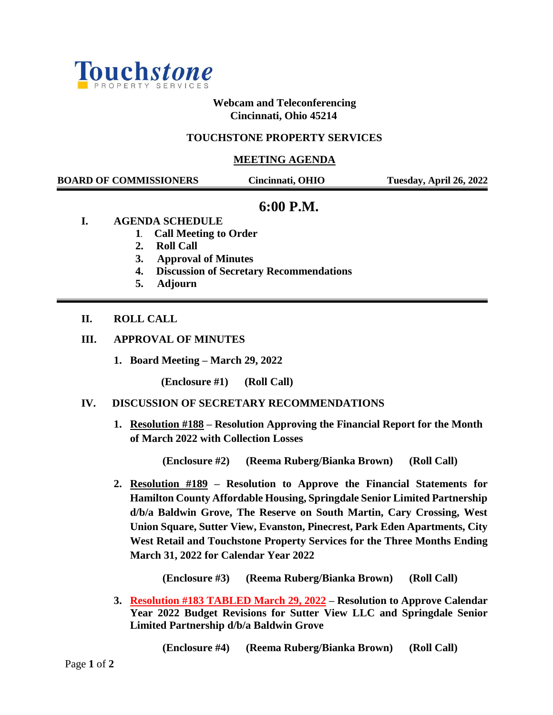

**Webcam and Teleconferencing Cincinnati, Ohio 45214**

### **TOUCHSTONE PROPERTY SERVICES**

#### **MEETING AGENDA**

 **BOARD OF COMMISSIONERS Cincinnati, OHIO Tuesday, April 26, 2022**

# **6:00 P.M.**

- **I. AGENDA SCHEDULE**
	- **1. Call Meeting to Order**
	- **2. Roll Call**
	- **3. Approval of Minutes**
	- **4. Discussion of Secretary Recommendations**
	- **5. Adjourn**

### **II. ROLL CALL**

- **III. APPROVAL OF MINUTES** 
	- **1. Board Meeting – March 29, 2022**

**(Enclosure #1) (Roll Call)**

#### **IV. DISCUSSION OF SECRETARY RECOMMENDATIONS**

**1. Resolution #188 – Resolution Approving the Financial Report for the Month of March 2022 with Collection Losses**

**(Enclosure #2) (Reema Ruberg/Bianka Brown) (Roll Call)**

**2. Resolution #189 – Resolution to Approve the Financial Statements for Hamilton County Affordable Housing, Springdale Senior Limited Partnership d/b/a Baldwin Grove, The Reserve on South Martin, Cary Crossing, West Union Square, Sutter View, Evanston, Pinecrest, Park Eden Apartments, City West Retail and Touchstone Property Services for the Three Months Ending March 31, 2022 for Calendar Year 2022**

**(Enclosure #3) (Reema Ruberg/Bianka Brown) (Roll Call)**

**3. Resolution #183 TABLED March 29, 2022 – Resolution to Approve Calendar Year 2022 Budget Revisions for Sutter View LLC and Springdale Senior Limited Partnership d/b/a Baldwin Grove**

 **(Enclosure #4) (Reema Ruberg/Bianka Brown) (Roll Call)**